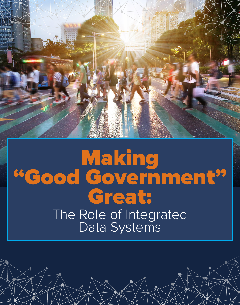

# Making "Good Government" Great: The Role of Integrated Data Systems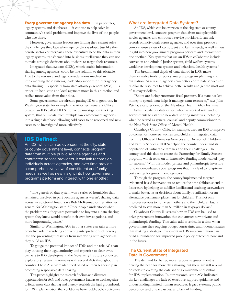Every government agency has data  $-$  in paper files, legacy systems and databases — it can use to help solve its community's social problems and improve the lives of the people who live there.

However, government leaders are finding they cannot solve the challenges they face when agency data is siloed. Just like their private sector counterparts, these executives need the data in their legacy systems transformed into business intelligence they can use to make strategic decisions about where to target their resources.

Integrated data systems (IDSs), which enable information sharing among agencies, could be one solution to this obstacle. Due to the resource and legal considerations involved in implementing these systems, leadership support for interagency data sharing — especially from state attorneys general  $(AGs)$  — is critical to help state and local agencies move in this direction and realize more value from their data.

Some governments are already putting IDSs to good use. In Washington state, for example, the Attorney General's Office created an IDS called HITS (homicide investigation tracking system) that pulls data from multiple law enforcement agencies into a single database, allowing cold cases to be reopened and new cases to be investigated more effectively.

# IDS Defined:

An IDS, which can be overseen at the city, state or county government level, connects program data from multiple public service agencies and contracted service providers. It can link records on individuals across agencies, and over time provide a comprehensive view of constituent and family needs, as well as new insight into how government programs perform and interact with one another.

"The genesis of that system was a series of homicides that remained unsolved in part because agencies weren't sharing data across jurisdictional lines," says Rob McKenna, former attorney general for Washington state. "Once people understood what the problem was, they were persuaded to buy into a data sharing system they knew would benefit their own investigations, and more importantly, justice."

Similar to Washington, AGs in other states can take a more proactive role in resolving conflicting interpretations of privacy law and preventing turf issues from interfering with agencies as they build an IDS.

To gauge the potential impact of IDSs and the role AGs can play in using their legal authority and expertise to clear away barriers to IDS development, the Governing Institute conducted exploratory research interviews with several AGs throughout the country. These AGs were identified based on their leadership in promoting responsible data sharing.

This paper highlights the research findings and discusses opportunities for AGs and other government leaders to work together to foster more data sharing and thereby establish the legal groundwork for IDS implementation that could drive better public policy outcomes.

### **What are Integrated Data Systems?**

An IDS, which can be overseen at the city, state or county government level, connects program data from multiple public service agencies and contracted service providers. It can link records on individuals across agencies, and over time provide a comprehensive view of constituent and family needs, as well as new insight into how government programs perform and interact with one another.<sup>1</sup> Key systems that use an IDS to collaborate include correction and criminal justice systems, child welfare systems, workforce development systems and behavioral health systems.<sup>2</sup>

The breadth and depth of data shared in IDSs make them valuable tools for policy analysis, program planning and evaluation. As a result, agencies can better coordinate services or re-allocate resources to achieve better results and get the most out of taxpayer dollars.

"States are facing enormous fiscal pressure. If a state has less money to spend, data helps it manage scant resources," says John Petrila, vice president of the Meadows Health Policy Institute in Dallas. Petrila is a data expert who has worked with and for governments to establish new data sharing initiatives, including when he served as general counsel and deputy commissioner to the New York State Office of Mental Health.

Cuyahoga County, Ohio, for example, used an IDS to improve outcomes for homeless women and children. Integrated data from the Office of Homeless Services and Division of Children and Family Services (DCFS) helped the county understand its population of vulnerable families and their challenges. The county used this data to create the Partnering for Family Success program, which relies on an innovative funding model called "pay for success." With this model, private and philanthropic investors fund evidence-based social programs that may lead to long-term cost savings for government agencies.

Through the program, the county implemented targeted, evidenced-based interventions to reduce the time children spend in foster care by helping to stabilize families and enabling caseworkers to make better, faster decisions about family reunification or an alternative permanent placement for children. This not only improves services to homeless mothers and their children but is predicted to save more than \$4 million in taxpayer dollars.<sup>3</sup>

Cuyahoga County illustrates how an IDS can be used to drive government innovation that can attract new private and philanthropic funding. This value add is critical in a time when governments face ongoing budget constraints, and it demonstrates that making a strategic investment in IDS implementation can build a foundation for improved public policy outcomes now and in the future.

# **The Current State of Integrated Data in Government**

The demand for better, more responsive government is driving the need for more data sharing, but there are still several obstacles to creating the data sharing environment essential for IDS implementation. In our research, state AGs indicated the key challenges are lack of executive support, guidance and understanding; limited human resources; legacy systems; public perception and privacy issues; and lack of funding.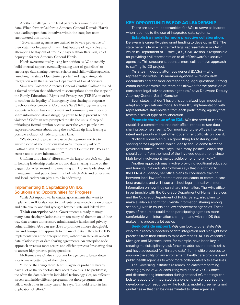Another challenge is the legal parameters around sharing data. When former California Attorney General Kamala Harris was leading open data initiatives within the state, her team encountered this hurdle.

"Government agencies are trained to be very protective of their data, not because of ill will, but because of legal rules and attempting to stay out of trouble," says Nathan Barankin, chief deputy to former Attorney General Harris.

Harris overcame this by using her position as AG to steadily build internal support, eventually issuing a set of guidelines<sup>4</sup> to encourage data sharing between schools and child welfare agencies, launching the state's Open Justice portal<sup>5</sup> and negotiating data integration with the California Department of Social Services.

Similarly, Colorado Attorney General Cynthia Coffman issued a formal opinion that addressed misconceptions about the scope of the Family Educational Rights and Privacy Act (FERPA), in order to confirm the legality of interagency data sharing in response to school safety concerns. Colorado's Safe2Tell program allows students, schools, law enforcement and community members to share information about struggling youth to help prevent school violence.<sup>6</sup> Coffman was prompted to take the unusual step of initiating a formal opinion because over the years people have expressed concerns about using the Safe2Tell tip line, fearing a possible violation of federal privacy laws.

"We decided to proactively issue that opinion and try to answer some of the questions that we're frequently asked," Coffman says. "This was an effort to say, 'Don't use FERPA as an excuse not to share information.'"

Coffman and Harris' efforts show the larger role AGs can play in helping leadership coalesce around data sharing. Some of the biggest obstacles around implementing an IDS are leadership, risk management and public trust  $-$  all of which AGs and other state and local leaders can play a role in addressing.

# **Implementing & Capitalizing On IDS: Solutions and Opportunities for Progress**

While AG support will be crucial, governments that want to implement an IDS also need to think enterprise wide, focus on privacy and data quality, and find synergies between state and federal law.

**Think enterprise wide.** Governments already manage many data sharing relationships — too many of them in an ad-hoc way that creates unnecessary administrative hassles and privacy vulnerabilities. AGs can use IDSs to promote a more thoughtful, fair and transparent approach to the use of data if they tackle IDS implementation at the enterprise level, rather than through one-off data relationships or data sharing agreements. An enterprise-wide approach creates a more secure and efficient process for sharing data to answer high-priority policy questions.

McKenna says it's also important for agencies to break down silos to make better use of their data.

"One of the things they'll learn is agencies probably already have a lot of the technology they need to do this. The problem is, too often the data is kept in individual technology silos, on different servers and inside different programs, but those programs can talk to each other in many cases," he says. "It should result in less duplication of effort."

## KEY OPPORTUNITIES FOR AG LEADERSHIP

There are several opportunities for AGs to serve as leaders when it comes to the use of integrated data systems.

Establish a model for more proactive collaboration. Delaware is currently using grant funding to develop an IDS. The state benefits from a centralized legal representation model in which its Department of Justice (DOJ) Civil Division is responsible for providing civil representation to all of Delaware's executive agencies. This structure supports a more collaborative approach to staffing its IDS project.

"As a team, deputy attorneys general (DAGs) — who represent individual IDS member agencies — review draft documents and consider corresponding legal questions. Strong communication within the team has allowed for the provision of consistent legal advice across agencies," says Delaware Deputy Attorney General Sarah Goncher.

Even states that don't have this centralized legal model can adapt an organizational model for their IDS implementation with representative stakeholders from each participating agency that fosters a similar type of collaboration.

**Promote the value of an IDS.** AGs first need to clearly establish a commitment that their office intends to see data sharing become a reality. Communicating the office's interest, intent and priority will get other government officials on board.

"Political sponsorship is a good thing for fostering data sharing across agencies, which ideally should come from the governor's office," Petrila says. "Minimally, political leadership should come from the head of the involved department, since high-level involvement makes achievement more likely."

Another approach may involve providing additional education and training. Colorado AG Coffman says that in addition to the FERPA guidance, her office plans to coordinate training between local law enforcement and educators to communicate best practices and will issue a school legal manual with more information on how they can share information. The AG's office, in partnership with the Colorado Department of Human Services and the Colorado Department of Public Safety, also plans to make available a form for juvenile information sharing among schools, juvenile courts and law enforcement agencies. These types of resources could make participating agencies more comfortable with information sharing — and with an IDS that makes this process a lot easier.

Seek outside support. AGs can look to other state AGs who are already supporters of data integration and highlight best practices from their efforts to raise awareness. AGs in Wisconsin, Michigan and Massachusetts, for example, have been key in creating multidisciplinary task forces to address the opioid crisis and have advocated for "linkable data" from multiple sources to improve the ability of law enforcement, health care providers and public health agencies to work more collaboratively to save lives.

The Governing Institute's research indicates that forming working groups of AGs, consulting with each AG's CIO office and disseminating information during national AG meetings can bolster support for integrated data systems and encourage the development of resources — like toolkits, model agreements and guidelines — that can be disseminated to other agencies.